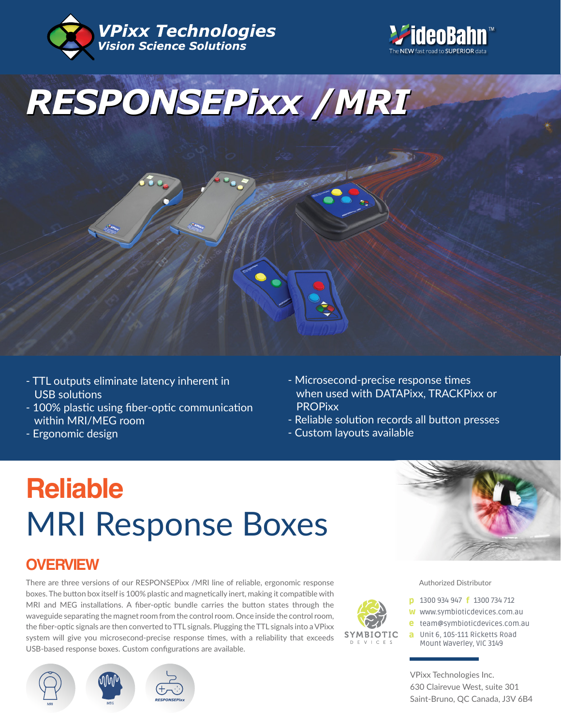





- TTL outputs eliminate latency inherent in USB solutions
- 100% plastic using fiber-optic communication within MRI/MEG room
- Ergonomic design
- Microsecond-precise response times when used with DATAPixx, TRACKPixx or PROPixx
- Reliable solution records all button presses
- Custom layouts available

# **Reliable** MRI Response Boxes

## **OVERVIEW**

There are three versions of our RESPONSEPixx /MRI line of reliable, ergonomic response boxes. The button box itself is 100% plastic and magnetically inert, making it compatible with MRI and MEG installations. A fiber-optic bundle carries the button states through the waveguide separating the magnet room from the control room. Once inside the control room, the fiber-optic signals are then converted to TTL signals. Plugging the TTL signals into a VPixx system will give you microsecond-precise response times, with a reliability that exceeds USB-based response boxes. Custom configurations are available.



**SYMBIOTIC** 

Authorized Distributor

- **p** 1300 934 947 **f** 1300 734 712
- w www.symbioticdevices.com.au
- [team@symbioticdevices.com.au](https://symbioticdevices.com.au/) e
- Unit 6, 105-111 Ricketts Road a Mount Waverley, VIC 3149

VPixx Technologies Inc. 630 Clairevue West, suite 301 Saint-Bruno, QC Canada, J3V 6B4